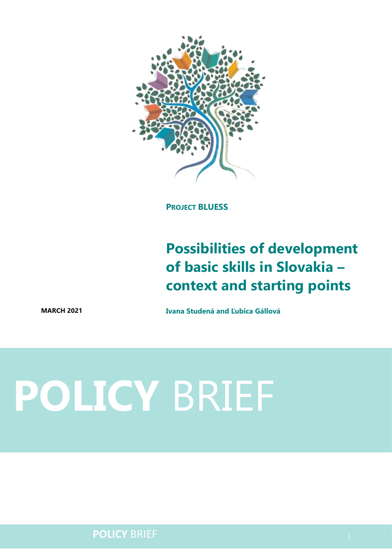

**PROJECT BLUESS**

## **Possibilities of development of basic skills in Slovakia – context and starting points**

**MARCH 2021 Ivana Studená and Ľubica Gállová**

# **POLICY** BRIEF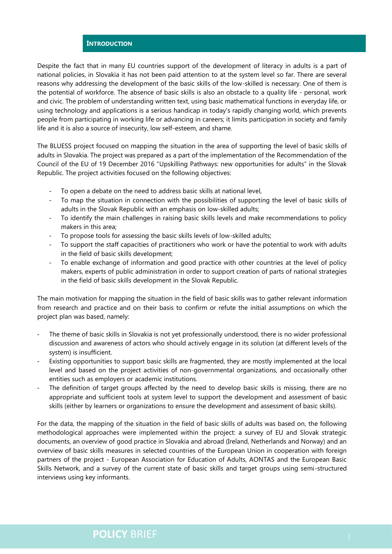#### **INTRODUCTION**

Despite the fact that in many EU countries support of the development of literacy in adults is a part of national policies, in Slovakia it has not been paid attention to at the system level so far. There are several reasons why addressing the development of the basic skills of the low-skilled is necessary. One of them is the potential of workforce. The absence of basic skills is also an obstacle to a quality life - personal, work and civic. The problem of understanding written text, using basic mathematical functions in everyday life, or using technology and applications is a serious handicap in today's rapidly changing world, which prevents people from participating in working life or advancing in careers; it limits participation in society and family life and it is also a source of insecurity, low self-esteem, and shame.

The BLUESS project focused on mapping the situation in the area of supporting the level of basic skills of adults in Slovakia. The project was prepared as a part of the implementation of the Recommendation of the Council of the EU of 19 December 2016 "Upskilling Pathways: new opportunities for adults" in the Slovak Republic. The project activities focused on the following objectives:

- To open a debate on the need to address basic skills at national level,
- To map the situation in connection with the possibilities of supporting the level of basic skills of adults in the Slovak Republic with an emphasis on low-skilled adults;
- To identify the main challenges in raising basic skills levels and make recommendations to policy makers in this area;
- To propose tools for assessing the basic skills levels of low-skilled adults;
- To support the staff capacities of practitioners who work or have the potential to work with adults in the field of basic skills development;
- To enable exchange of information and good practice with other countries at the level of policy makers, experts of public administration in order to support creation of parts of national strategies in the field of basic skills development in the Slovak Republic.

The main motivation for mapping the situation in the field of basic skills was to gather relevant information from research and practice and on their basis to confirm or refute the initial assumptions on which the project plan was based, namely:

- The theme of basic skills in Slovakia is not yet professionally understood, there is no wider professional discussion and awareness of actors who should actively engage in its solution (at different levels of the system) is insufficient.
- Existing opportunities to support basic skills are fragmented, they are mostly implemented at the local level and based on the project activities of non-governmental organizations, and occasionally other entities such as employers or academic institutions.
- The definition of target groups affected by the need to develop basic skills is missing, there are no appropriate and sufficient tools at system level to support the development and assessment of basic skills (either by learners or organizations to ensure the development and assessment of basic skills).

For the data, the mapping of the situation in the field of basic skills of adults was based on, the following methodological approaches were implemented within the project: a survey of EU and Slovak strategic documents, an overview of good practice in Slovakia and abroad (Ireland, Netherlands and Norway) and an overview of basic skills measures in selected countries of the European Union in cooperation with foreign partners of the project - European Association for Education of Adults, AONTAS and the European Basic Skills Network, and a survey of the current state of basic skills and target groups using semi-structured interviews using key informants.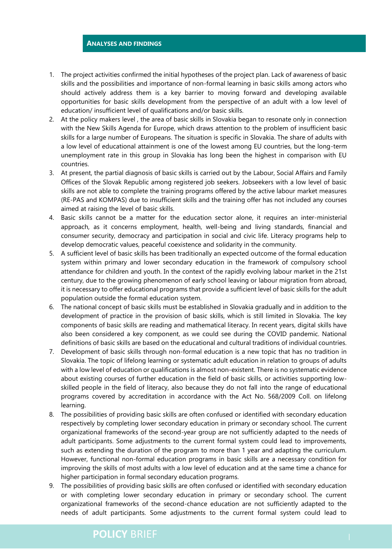#### **ANALYSES AND FINDINGS**

- 1. The project activities confirmed the initial hypotheses of the project plan. Lack of awareness of basic skills and the possibilities and importance of non-formal learning in basic skills among actors who should actively address them is a key barrier to moving forward and developing available opportunities for basic skills development from the perspective of an adult with a low level of education/ insufficient level of qualifications and/or basic skills.
- 2. At the policy makers level , the area of basic skills in Slovakia began to resonate only in connection with the New Skills Agenda for Europe, which draws attention to the problem of insufficient basic skills for a large number of Europeans. The situation is specific in Slovakia. The share of adults with a low level of educational attainment is one of the lowest among EU countries, but the long-term unemployment rate in this group in Slovakia has long been the highest in comparison with EU countries.
- 3. At present, the partial diagnosis of basic skills is carried out by the Labour, Social Affairs and Family Offices of the Slovak Republic among registered job seekers. Jobseekers with a low level of basic skills are not able to complete the training programs offered by the active labour market measures (RE-PAS and KOMPAS) due to insufficient skills and the training offer has not included any courses aimed at raising the level of basic skills.
- 4. Basic skills cannot be a matter for the education sector alone, it requires an inter-ministerial approach, as it concerns employment, health, well-being and living standards, financial and consumer security, democracy and participation in social and civic life. Literacy programs help to develop democratic values, peaceful coexistence and solidarity in the community.
- 5. A sufficient level of basic skills has been traditionally an expected outcome of the formal education system within primary and lower secondary education in the framework of compulsory school attendance for children and youth. In the context of the rapidly evolving labour market in the 21st century, due to the growing phenomenon of early school leaving or labour migration from abroad, it is necessary to offer educational programs that provide a sufficient level of basic skills for the adult population outside the formal education system.
- 6. The national concept of basic skills must be established in Slovakia gradually and in addition to the development of practice in the provision of basic skills, which is still limited in Slovakia. The key components of basic skills are reading and mathematical literacy. In recent years, digital skills have also been considered a key component, as we could see during the COVID pandemic. National definitions of basic skills are based on the educational and cultural traditions of individual countries.
- 7. Development of basic skills through non-formal education is a new topic that has no tradition in Slovakia. The topic of lifelong learning or systematic adult education in relation to groups of adults with a low level of education or qualifications is almost non-existent. There is no systematic evidence about existing courses of further education in the field of basic skills, or activities supporting lowskilled people in the field of literacy, also because they do not fall into the range of educational programs covered by accreditation in accordance with the Act No. 568/2009 Coll. on lifelong learning.
- 8. The possibilities of providing basic skills are often confused or identified with secondary education respectively by completing lower secondary education in primary or secondary school. The current organizational frameworks of the second-year group are not sufficiently adapted to the needs of adult participants. Some adjustments to the current formal system could lead to improvements, such as extending the duration of the program to more than 1 year and adapting the curriculum. However, functional non-formal education programs in basic skills are a necessary condition for improving the skills of most adults with a low level of education and at the same time a chance for higher participation in formal secondary education programs.
- 9. The possibilities of providing basic skills are often confused or identified with secondary education or with completing lower secondary education in primary or secondary school. The current organizational frameworks of the second-chance education are not sufficiently adapted to the needs of adult participants. Some adjustments to the current formal system could lead to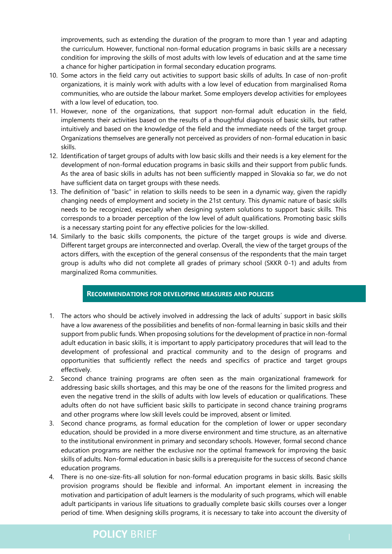improvements, such as extending the duration of the program to more than 1 year and adapting the curriculum. However, functional non-formal education programs in basic skills are a necessary condition for improving the skills of most adults with low levels of education and at the same time a chance for higher participation in formal secondary education programs.

- 10. Some actors in the field carry out activities to support basic skills of adults. In case of non-profit organizations, it is mainly work with adults with a low level of education from marginalised Roma communities, who are outside the labour market. Some employers develop activities for employees with a low level of education, too.
- 11. However, none of the organizations, that support non-formal adult education in the field, implements their activities based on the results of a thoughtful diagnosis of basic skills, but rather intuitively and based on the knowledge of the field and the immediate needs of the target group. Organizations themselves are generally not perceived as providers of non-formal education in basic skills.
- 12. Identification of target groups of adults with low basic skills and their needs is a key element for the development of non-formal education programs in basic skills and their support from public funds. As the area of basic skills in adults has not been sufficiently mapped in Slovakia so far, we do not have sufficient data on target groups with these needs.
- 13. The definition of "basic" in relation to skills needs to be seen in a dynamic way, given the rapidly changing needs of employment and society in the 21st century. This dynamic nature of basic skills needs to be recognized, especially when designing system solutions to support basic skills. This corresponds to a broader perception of the low level of adult qualifications. Promoting basic skills is a necessary starting point for any effective policies for the low-skilled.
- 14. Similarly to the basic skills components, the picture of the target groups is wide and diverse. Different target groups are interconnected and overlap. Overall, the view of the target groups of the actors differs, with the exception of the general consensus of the respondents that the main target group is adults who did not complete all grades of primary school (SKKR 0-1) and adults from marginalized Roma communities.

#### **RECOMMENDATIONS FOR DEVELOPING MEASURES AND POLICIES**

- 1. The actors who should be actively involved in addressing the lack of adults´ support in basic skills have a low awareness of the possibilities and benefits of non-formal learning in basic skills and their support from public funds. When proposing solutions for the development of practice in non-formal adult education in basic skills, it is important to apply participatory procedures that will lead to the development of professional and practical community and to the design of programs and opportunities that sufficiently reflect the needs and specifics of practice and target groups effectively.
- 2. Second chance training programs are often seen as the main organizational framework for addressing basic skills shortages, and this may be one of the reasons for the limited progress and even the negative trend in the skills of adults with low levels of education or qualifications. These adults often do not have sufficient basic skills to participate in second chance training programs and other programs where low skill levels could be improved, absent or limited.
- 3. Second chance programs, as formal education for the completion of lower or upper secondary education, should be provided in a more diverse environment and time structure, as an alternative to the institutional environment in primary and secondary schools. However, formal second chance education programs are neither the exclusive nor the optimal framework for improving the basic skills of adults. Non-formal education in basic skills is a prerequisite for the success of second chance education programs.
- 4. There is no one-size-fits-all solution for non-formal education programs in basic skills. Basic skills provision programs should be flexible and informal. An important element in increasing the motivation and participation of adult learners is the modularity of such programs, which will enable adult participants in various life situations to gradually complete basic skills courses over a longer period of time. When designing skills programs, it is necessary to take into account the diversity of